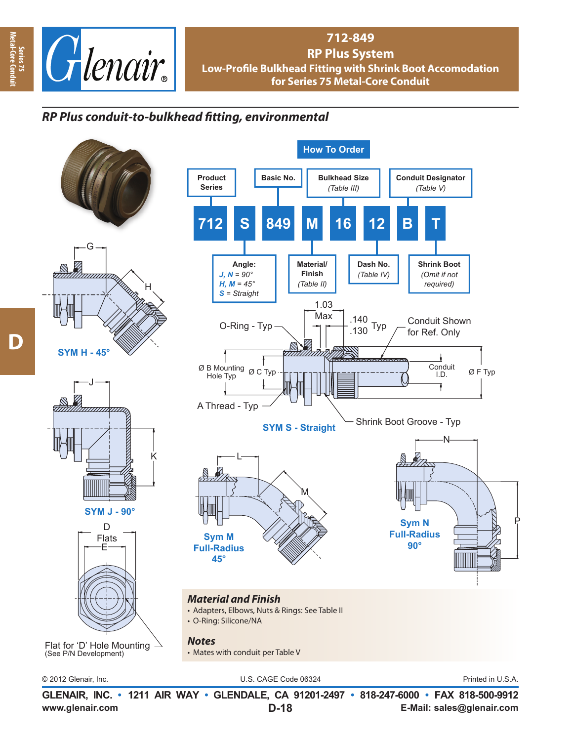

## **712-849 RP Plus System Low-Profile Bulkhead Fitting with Shrink Boot Accomodation for Series 75 Metal-Core Conduit**

## *RP Plus conduit-to-bulkhead fi tting, environmental*











Flat for 'D' Hole Mounting (See P/N Development)



© 2012 Glenair, Inc. U.S. CAGE Code 06324 Printed in U.S.A.

**www.glenair.com E-Mail: sales@glenair.com GLENAIR, INC. • 1211 AIR WAY • GLENDALE, CA 91201-2497 • 818-247-6000 • FAX 818-500-9912 D-18**

**Series 75**<br>Aetal-Core Cor **Metal-Core Conduit**